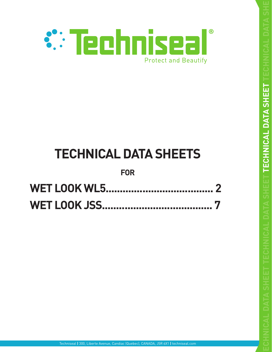

# **TECHNICAL DATA SHEETS**

# **FOR**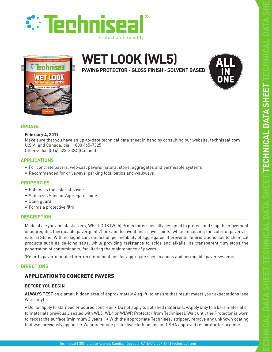





# **WET LOOK (WL5)**

**PAVING PROTECTOR - GLOSS FINISH - SOLVENT BASED**



# **UPDATE**

# **February 4, 2019**

Make sure that you have an up-to-date technical data sheet in hand by consulting our website: techniseal.com U.S.A. and Canada: dial 1 800 465-7325

Others: dial (514) 523-8324 (Canada)

# **APPLICATIONS**

- For concrete pavers, wet-cast pavers, natural stone, aggregates and permeable systems
- Recommended for driveways, parking lots, patios and walkways

# **PROPERTIES**

- Enhances the color of pavers
- Stabilizes Sand or Aggregate Joints
- Stain guard
- Forms a protective film

# **DESCRIPTION**

Made of acrylic and plasticizers, WET LOOK (WL5) Protector is specially designed to protect and stop the movement of aggregates (permeable paver joints\* ) or sand (conventional paver joints) while enhancing the color of pavers or natural Stone. With no significant impact on permeability of aggregates, it prevents deteriorations due to chemical products such as de-icing salts, while providing resistance to acids and alkalis. Its transparent film stops the penetration of contaminants, facilitating the maintenance of pavers.

\* Refer to paver manufacturer recommendations for aggregate specifications and permeable paver systems.

# **DIRECTIONS**

# APPLICATION TO CONCRETE PAVERS

# **BEFORE YOU BEGIN**

**ALWAYS TEST** on a small hidden area of approximately 4 sq. ft. to ensure that result meets your expectations (see Warranty).

• Do not apply to stamped or poured concrete. • Do not apply to polished materials. •Apply only to a bare material or to materials previously sealed with WL5, WL4 or WLWR Protector from Techniseal. Wait until the Protector is worn to recoat the surface (minimum 2 years). • With the appropriate Techniseal stripper, remove any unknown coating that was previously applied. • Wear adequate protective clothing and an OSHA approved respirator for acetone.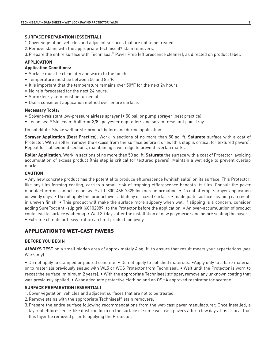# **SURFACE PREPARATION (ESSENTIAL)**

- 1.Cover vegetation, vehicles and adjacent surfaces that are not to be treated.
- 2.Remove stains with the appropriate Techniseal® stain removers.
- 3.Prepare the entire surface with Techniseal® Paver Prep (efflorescence cleaner), as directed on product label.

# **APPLICATION**

# **Application Conditions:**

- Surface must be clean, dry and warm to the touch.
- Temperature must be between 50 and 85°F.
- It is important that the temperature remains over 50°F for the next 24 hours
- No rain forecasted for the next 24 hours.
- Sprinkler system must be turned off.
- Use a consistent application method over entire surface.

# **Necessary Tools:**

- Solvent-resistant low-pressure airless sprayer (< 50 psi) or pump sprayer (best practice))
- Techniseal® Slit-Foam Roller or 3/8'' polyester nap rollers and solvent resistant paint tray

# Do not dilute. Shake well or stir product before and during application.

**Sprayer Application (Best Practice)**: Work in sections of no more than 50 sq. ft. **Saturate** surface with a coat of Protector. With a roller, remove the excess from the surface before it dries (this step is critical for textured pavers). Repeat for subsequent sections, maintaining a wet edge to prevent overlap marks.

**Roller Application**: Work in sections of no more than 50 sq. ft. **Saturate** the surface with a coat of Protector, avoiding accumulation of excess product (this step is critical for textured pavers). Maintain a wet edge to prevent overlap marks.

# **CAUTION**

• Any new concrete product has the potential to produce efflorescence (whitish salts) on its surface. This Protector, like any film forming coating, carries a small risk of trapping efflorescence beneath its film. Consult the paver manufacturer or contact Techniseal® at 1-800-465-7325 for more information. • Do not attempt sprayer application on windy days. • Do not apply this product over a blotchy or hazed surface. • Inadequate surface cleaning can result in uneven finish. • This product will make the surface more slippery when wet. If slipping is a concern, consider adding SureFoot anti-slip grit (60102089) to the Protector before the application. • An over-accumulation of product could lead to surface whitening. • Wait 30 days after the installation of new polymeric sand before sealing the pavers. • Extreme climate or heavy traffic can limit product longevity.

# APPLICATION TO WET-CAST PAVERS

# **BEFORE YOU BEGIN**

**ALWAYS TEST** on a small hidden area of approximately 4 sq. ft. to ensure that result meets your expectations (see Warranty).

• Do not apply to stamped or poured concrete. • Do not apply to polished materials. •Apply only to a bare material or to materials previously sealed with WL5 or WCS Protector from Techniseal. • Wait until the Protector is worn to recoat the surface (minimum 2 years). • With the appropriate Techniseal stripper, remove any unknown coating that was previously applied. • Wear adequate protective clothing and an OSHA approved respirator for acetone.

# **SURFACE PREPARATION (ESSENTIAL)**

- 1.Cover vegetation, vehicles and adjacent surfaces that are not to be treated.
- 2.Remove stains with the appropriate Techniseal® stain removers.
- 3.Prepare the entire surface following recommendations from the wet-cast paver manufacturer. Once installed, a layer of efflorescence-like dust can form on the surface of some wet-cast pavers after a few days. It is critical that this layer be removed prior to applying the Protector.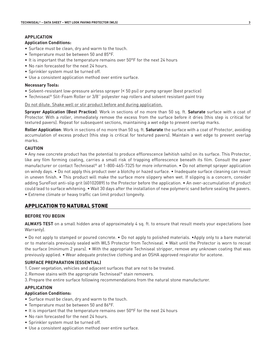# **APPLICATION**

# **Application Conditions:**

- Surface must be clean, dry and warm to the touch.
- Temperature must be between 50 and 85°F.
- It is important that the temperature remains over 50°F for the next 24 hours
- No rain forecasted for the next 24 hours.
- Sprinkler system must be turned off.
- Use a consistent application method over entire surface.

# **Necessary Tools:**

- Solvent-resistant low-pressure airless sprayer (< 50 psi) or pump sprayer (best practice)
- Techniseal® Slit-Foam Roller or 3/8'' polyester nap rollers and solvent resistant paint tray

Do not dilute. Shake well or stir product before and during application.

**Sprayer Application (Best Practice)**: Work in sections of no more than 50 sq. ft. **Saturate** surface with a coat of Protector. With a roller, immediately remove the excess from the surface before it dries (this step is critical for textured pavers). Repeat for subsequent sections, maintaining a wet edge to prevent overlap marks.

**Roller Application**: Work in sections of no more than 50 sq. ft. **Saturate** the surface with a coat of Protector, avoiding accumulation of excess product (this step is critical for textured pavers). Maintain a wet edge to prevent overlap marks.

# **CAUTION**

• Any new concrete product has the potential to produce efflorescence (whitish salts) on its surface. This Protector, like any film forming coating, carries a small risk of trapping efflorescence beneath its film. Consult the paver manufacturer or contact Techniseal® at 1-800-465-7325 for more information. • Do not attempt sprayer application on windy days. • Do not apply this product over a blotchy or hazed surface. • Inadequate surface cleaning can result in uneven finish. • This product will make the surface more slippery when wet. If slipping is a concern, consider adding SureFoot anti-slip grit (60102089) to the Protector before the application. • An over-accumulation of product could lead to surface whitening. • Wait 30 days after the installation of new polymeric sand before sealing the pavers. • Extreme climate or heavy traffic can limit product longevity.

# APPLICATION TO NATURAL STONE

# **BEFORE YOU BEGIN**

**ALWAYS TEST** on a small hidden area of approximately 4 sq. ft. to ensure that result meets your expectations (see Warranty).

• Do not apply to stamped or poured concrete. • Do not apply to polished materials. •Apply only to a bare material or to materials previously sealed with WL5 Protector from Techniseal. • Wait until the Protector is worn to recoat the surface (minimum 2 years). • With the appropriate Techniseal stripper, remove any unknown coating that was previously applied. • Wear adequate protective clothing and an OSHA approved respirator for acetone.

# **SURFACE PREPARATION (ESSENTIAL)**

1.Cover vegetation, vehicles and adjacent surfaces that are not to be treated.

- 2.Remove stains with the appropriate Techniseal® stain removers.
- 3.Prepare the entire surface following recommendations from the natural stone manufacturer.

# **APPLICATION**

# **Application Conditions:**

- Surface must be clean, dry and warm to the touch.
- Temperature must be between 50 and 86°F.
- It is important that the temperature remains over 50°F for the next 24 hours
- No rain forecasted for the next 24 hours.
- Sprinkler system must be turned off.
- Use a consistent application method over entire surface.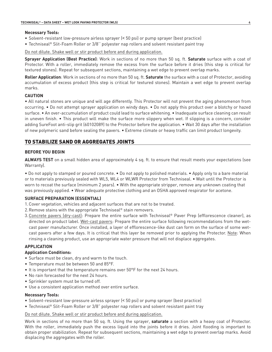#### **Necessary Tools:**

- Solvent-resistant low-pressure airless sprayer (< 50 psi) or pump sprayer (best practice)
- Techniseal® Slit-Foam Roller or 3/8'' polyester nap rollers and solvent resistant paint tray

Do not dilute. Shake well or stir product before and during application.

**Sprayer Application (Best Practice)**: Work in sections of no more than 50 sq. ft. **Saturate** surface with a coat of Protector. With a roller, immediately remove the excess from the surface before it dries (this step is critical for textured stones). Repeat for subsequent sections, maintaining a wet edge to prevent overlap marks.

**Roller Application**: Work in sections of no more than 50 sq. ft. **Saturate** the surface with a coat of Protector, avoiding accumulation of excess product (this step is critical for textured stones). Maintain a wet edge to prevent overlap marks.

# **CAUTION**

• All natural stones are unique and will age differently. This Protector will not prevent the aging phenomenon from occurring. • Do not attempt sprayer application on windy days. • Do not apply this product over a blotchy or hazed surface. • An over-accumulation of product could lead to surface whitening. • Inadequate surface cleaning can result in uneven finish. • This product will make the surface more slippery when wet. If slipping is a concern, consider adding SureFoot anti-slip grit (60102089) to the Protector before the application. • Wait 30 days after the installation of new polymeric sand before sealing the pavers. • Extreme climate or heavy traffic can limit product longevity.

# TO STABILIZE SAND OR AGGREGATES JOINTS

# **BEFORE YOU BEGIN**

**ALWAYS TEST** on a small hidden area of approximately 4 sq. ft. to ensure that result meets your expectations (see Warranty).

• Do not apply to stamped or poured concrete. • Do not apply to polished materials. • Apply only to a bare material or to materials previously sealed with WL5, WL4 or WLWR Protector from Techniseal. • Wait until the Protector is worn to recoat the surface (minimum 2 years). • With the appropriate stripper, remove any unknown coating that was previously applied. • Wear adequate protective clothing and an OSHA approved respirator for acetone.

# **SURFACE PREPARATION (ESSENTIAL)**

- 1.Cover vegetation, vehicles and adjacent surfaces that are not to be treated.
- 2.Remove stains with the appropriate Techniseal® stain removers.
- 3.Concrete pavers (dry-cast): Prepare the entire surface with Techniseal® Paver Prep (efflorescence cleaner), as directed on product label. Wet-cast pavers: Prepare the entire surface following recommendations from the wetcast paver manufacturer. Once installed, a layer of efflorescence-like dust can form on the surface of some wetcast pavers after a few days. It is critical that this layer be removed prior to applying the Protector. Note: When rinsing a cleaning product, use an appropriate water pressure that will not displace aggregates.

# **APPLICATION**

# **Application Conditions:**

- Surface must be clean, dry and warm to the touch.
- Temperature must be between 50 and 85°F.
- It is important that the temperature remains over 50°F for the next 24 hours.
- No rain forecasted for the next 24 hours.
- Sprinkler system must be turned off.
- Use a consistent application method over entire surface.

# **Necessary Tools:**

- Solvent-resistant low-pressure airless sprayer (< 50 psi) or pump sprayer (best practice)
- Techniseal® Slit-Foam Roller or 3/8" polyester nap rollers and solvent resistant paint tray

# Do not dilute. Shake well or stir product before and during application.

Work in sections of no more than 50 sq. ft. Using the sprayer, **saturate** a section with a heavy coat of Protector. With the roller, immediately push the excess liquid into the joints before it dries. Joint flooding is important to obtain proper stabilization. Repeat for subsequent sections, maintaining a wet edge to prevent overlap marks. Avoid displacing the aggregates with the roller.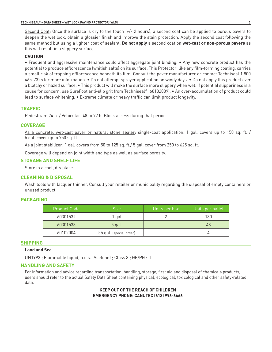Second Coat: Once the surface is dry to the touch  $(+/- 2$  hours), a second coat can be applied to porous pavers to deepen the wet look, obtain a glossier finish and improve the stain protection. Apply the second coat following the same method but using a lighter coat of sealant. **Do not apply** a second coat on **wet-cast or non-porous pavers** as this will result in a slippery surface

# **CAUTION**

• Frequent and aggressive maintenance could affect aggregate joint binding. • Any new concrete product has the potential to produce efflorescence (whitish salts) on its surface. This Protector, like any film-forming coating, carries a small risk of trapping efflorescence beneath its film. Consult the paver manufacturer or contact Techniseal 1 800 465-7325 for more information. • Do not attempt sprayer application on windy days. • Do not apply this product over a blotchy or hazed surface. • This product will make the surface more slippery when wet. If potential slipperiness is a cause for concern, use SureFoot anti-slip grit from Techniseal® (60102089). • An over-accumulation of product could lead to surface whitening. • Extreme climate or heavy traffic can limit product longevity.

# **TRAFFIC**

Pedestrian: 24 h. / Vehicular: 48 to 72 h. Block access during that period.

#### **COVERAGE**

As a concrete, wet-cast paver or natural stone sealer: single-coat application. 1 gal. covers up to 150 sq. ft. / 5 gal. cover up to 750 sq. ft.

As a joint stabilizer: 1 gal. covers from 50 to 125 sq. ft./ 5 gal. cover from 250 to 625 sq. ft.

Coverage will depend on joint width and type as well as surface porosity.

#### **STORAGE AND SHELF LIFE**

Store in a cool, dry place.

#### **CLEANING & DISPOSAL**

Wash tools with lacquer thinner. Consult your retailer or municipality regarding the disposal of empty containers or unused product.

#### **PACKAGING**

| <b>Product Code</b> | <b>Size</b>             | Units per box | Units per pallet |
|---------------------|-------------------------|---------------|------------------|
| 60301532            | gal                     |               | 180              |
| 60301533            | 5 gal.                  |               | 48               |
| 60102004            | 55 gal. (special order) |               |                  |

#### **SHIPPING**

#### **Land and Sea**

UN1993 ; Flammable liquid, n.o.s. (Acetone) ; Class 3 ; GE/PG : II

#### **HANDLING AND SAFETY**

For information and advice regarding transportation, handling, storage, first aid and disposal of chemicals products, users should refer to the actual Safety Data Sheet containing physical, ecological, toxicological and other safety-related data.

# **KEEP OUT OF THE REACH OF CHILDREN EMERGENCY PHONE: CANUTEC (613) 996-6666**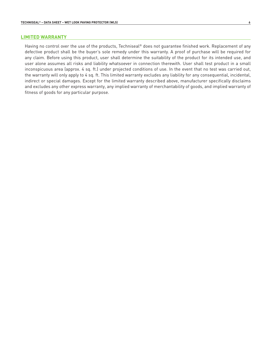# **LIMITED WARRANTY**

Having no control over the use of the products, Techniseal® does not guarantee finished work. Replacement of any defective product shall be the buyer's sole remedy under this warranty. A proof of purchase will be required for any claim. Before using this product, user shall determine the suitability of the product for its intended use, and user alone assumes all risks and liability whatsoever in connection therewith. User shall test product in a small inconspicuous area (approx. 4 sq. ft.) under projected conditions of use. In the event that no test was carried out, the warranty will only apply to 4 sq. ft. This limited warranty excludes any liability for any consequential, incidental, indirect or special damages. Except for the limited warranty described above, manufacturer specifically disclaims and excludes any other express warranty, any implied warranty of merchantability of goods, and implied warranty of fitness of goods for any particular purpose.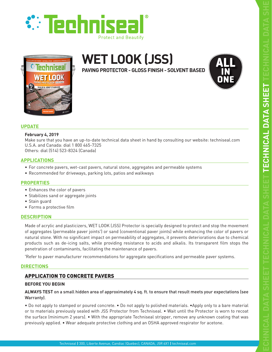





# **WET LOOK (JSS)**

**PAVING PROTECTOR - GLOSS FINISH - SOLVENT BASED**



# **UPDATE**

# **February 4, 2019**

Make sure that you have an up-to-date technical data sheet in hand by consulting our website: techniseal.com U.S.A. and Canada: dial 1 800 465-7325

Others: dial (514) 523-8324 (Canada)

# **APPLICATIONS**

- For concrete pavers, wet-cast pavers, natural stone, aggregates and permeable systems
- Recommended for driveways, parking lots, patios and walkways

# **PROPERTIES**

- Enhances the color of pavers
- Stabilizes sand or aggregate joints
- Stain guard
- Forms a protective film

# **DESCRIPTION**

Made of acrylic and plasticizers, WET LOOK (JSS) Protector is specially designed to protect and stop the movement of aggregates (permeable paver joints\* ) or sand (conventional paver joints) while enhancing the color of pavers or natural stone. With no significant impact on permeability of aggregates, it prevents deteriorations due to chemical products such as de-icing salts, while providing resistance to acids and alkalis. Its transparent film stops the penetration of contaminants, facilitating the maintenance of pavers.

\* Refer to paver manufacturer recommendations for aggregate specifications and permeable paver systems.

# **DIRECTIONS**

# APPLICATION TO CONCRETE PAVERS

# **BEFORE YOU BEGIN**

**ALWAYS TEST** on a small hidden area of approximately 4 sq. ft. to ensure that result meets your expectations (see Warranty).

• Do not apply to stamped or poured concrete. • Do not apply to polished materials. •Apply only to a bare material or to materials previously sealed with JSS Protector from Techniseal. • Wait until the Protector is worn to recoat the surface (minimum 2 years). • With the appropriate Techniseal stripper, remove any unknown coating that was previously applied. • Wear adequate protective clothing and an OSHA approved respirator for acetone.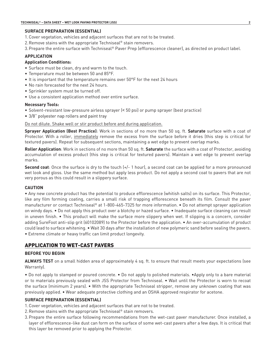#### **SURFACE PREPARATION (ESSENTIAL)**

- 1.Cover vegetation, vehicles and adjacent surfaces that are not to be treated.
- 2.Remove stains with the appropriate Techniseal® stain removers.
- 3.Prepare the entire surface with Techniseal® Paver Prep (efflorescence cleaner), as directed on product label.

# **APPLICATION**

# **Application Conditions:**

- Surface must be clean, dry and warm to the touch.
- Temperature must be between 50 and 85°F.
- It is important that the temperature remains over 50°F for the next 24 hours
- No rain forecasted for the next 24 hours.
- Sprinkler system must be turned off.
- Use a consistent application method over entire surface.

#### **Necessary Tools:**

- Solvent-resistant low-pressure airless sprayer (< 50 psi) or pump sprayer (best practice)
- 3/8" polyester nap rollers and paint tray

#### Do not dilute. Shake well or stir product before and during application.

**Sprayer Application (Best Practice)**: Work in sections of no more than 50 sq. ft. **Saturate** surface with a coat of Protector. With a roller, immediately remove the excess from the surface before it dries (this step is critical for textured pavers). Repeat for subsequent sections, maintaining a wet edge to prevent overlap marks.

**Roller Application**: Work in sections of no more than 50 sq. ft. **Saturate** the surface with a coat of Protector, avoiding accumulation of excess product (this step is critical for textured pavers). Maintain a wet edge to prevent overlap marks.

**Second coat**: Once the surface is dry to the touch (+/- 1 hour), a second coat can be applied for a more pronounced wet look and gloss. Use the same method but apply less product. Do not apply a second coat to pavers that are not very porous as this could result in a slippery surface.

# **CAUTION**

• Any new concrete product has the potential to produce efflorescence (whitish salts) on its surface. This Protector, like any film forming coating, carries a small risk of trapping efflorescence beneath its film. Consult the paver manufacturer or contact Techniseal® at 1-800-465-7325 for more information. • Do not attempt sprayer application on windy days. • Do not apply this product over a blotchy or hazed surface. • Inadequate surface cleaning can result in uneven finish. • This product will make the surface more slippery when wet. If slipping is a concern, consider adding SureFoot anti-slip grit (60102089) to the Protector before the application. • An over-accumulation of product could lead to surface whitening. • Wait 30 days after the installation of new polymeric sand before sealing the pavers. • Extreme climate or heavy traffic can limit product longevity.

# APPLICATION TO WET-CAST PAVERS

#### **BEFORE YOU BEGIN**

**ALWAYS TEST** on a small hidden area of approximately 4 sq. ft. to ensure that result meets your expectations (see Warranty).

• Do not apply to stamped or poured concrete. • Do not apply to polished materials. •Apply only to a bare material or to materials previously sealed with JSS Protector from Techniseal. • Wait until the Protector is worn to recoat the surface (minimum 2 years). • With the appropriate Techniseal stripper, remove any unknown coating that was previously applied. • Wear adequate protective clothing and an OSHA approved respirator for acetone.

# **SURFACE PREPARATION (ESSENTIAL)**

- 1.Cover vegetation, vehicles and adjacent surfaces that are not to be treated.
- 2.Remove stains with the appropriate Techniseal® stain removers.
- 3.Prepare the entire surface following recommendations from the wet-cast paver manufacturer. Once installed, a layer of efflorescence-like dust can form on the surface of some wet-cast pavers after a few days. It is critical that this layer be removed prior to applying the Protector.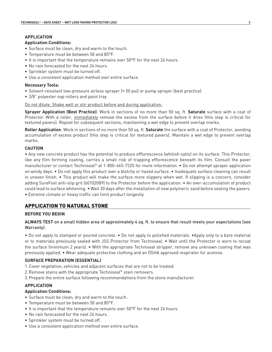# **APPLICATION**

# **Application Conditions:**

- Surface must be clean, dry and warm to the touch.
- Temperature must be between 50 and 85°F.
- It is important that the temperature remains over 50°F for the next 24 hours.
- No rain forecasted for the next 24 hours.
- Sprinkler system must be turned off.
- Use a consistent application method over entire surface.

#### **Necessary Tools:**

- Solvent-resistant low-pressure airless sprayer (< 50 psi) or pump sprayer (best practice)
- 3/8" polyester nap rollers and paint tray

#### Do not dilute. Shake well or stir product before and during application.

**Sprayer Application (Best Practice)**: Work in sections of no more than 50 sq. ft. **Saturate** surface with a coat of Protector. With a roller, immediately remove the excess from the surface before it dries (this step is critical for textured pavers). Repeat for subsequent sections, maintaining a wet edge to prevent overlap marks.

**Roller Application**: Work in sections of no more than 50 sq. ft. **Saturate** the surface with a coat of Protector, avoiding accumulation of excess product (this step is critical for textured pavers). Maintain a wet edge to prevent overlap marks.

#### **CAUTION**

• Any new concrete product has the potential to produce efflorescence (whitish salts) on its surface. This Protector, like any film forming coating, carries a small risk of trapping efflorescence beneath its film. Consult the paver manufacturer or contact Techniseal® at 1-800-465-7325 for more information. • Do not attempt sprayer application on windy days. • Do not apply this product over a blotchy or hazed surface. • Inadequate surface cleaning can result in uneven finish. • This product will make the surface more slippery when wet. If slipping is a concern, consider adding SureFoot anti-slip grit (60102089) to the Protector before the application. • An over-accumulation of product could lead to surface whitening. • Wait 30 days after the installation of new polymeric sand before sealing the pavers. • Extreme climate or heavy traffic can limit product longevity.

# APPLICATION TO NATURAL STONE

# **BEFORE YOU BEGIN**

# **ALWAYS TEST** on a small hidden area of approximately 4 sq. ft. to ensure that result meets your expectations (see Warranty).

• Do not apply to stamped or poured concrete. • Do not apply to polished materials. •Apply only to a bare material or to materials previously sealed with JSS Protector from Techniseal. • Wait until the Protector is worn to recoat the surface (minimum 2 years). • With the appropriate Techniseal stripper, remove any unknown coating that was previously applied. • Wear adequate protective clothing and an OSHA approved respirator for acetone.

# **SURFACE PREPARATION (ESSENTIAL)**

- 1.Cover vegetation, vehicles and adjacent surfaces that are not to be treated.
- 2.Remove stains with the appropriate Techniseal® stain removers.
- 3.Prepare the entire surface following recommendations from the stone manufacturer.

# **APPLICATION**

# **Application Conditions:**

- Surface must be clean, dry and warm to the touch.
- Temperature must be between 50 and 85°F.
- It is important that the temperature remains over 50°F for the next 24 hours
- No rain forecasted for the next 24 hours.
- Sprinkler system must be turned off.
- Use a consistent application method over entire surface.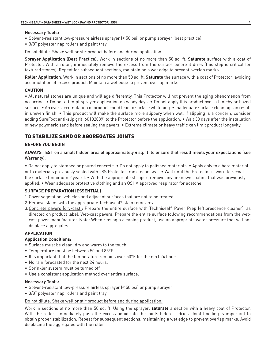#### **Necessary Tools:**

- Solvent-resistant low-pressure airless sprayer (< 50 psi) or pump sprayer (best practice)
- 3/8" polyester nap rollers and paint tray

Do not dilute. Shake well or stir product before and during application.

**Sprayer Application (Best Practice)**: Work in sections of no more than 50 sq. ft. **Saturate** surface with a coat of Protector. With a roller, immediately remove the excess from the surface before it dries (this step is critical for textured stones). Repeat for subsequent sections, maintaining a wet edge to prevent overlap marks.

**Roller Application**: Work in sections of no more than 50 sq. ft. **Saturate** the surface with a coat of Protector, avoiding accumulation of excess product. Maintain a wet edge to prevent overlap marks.

# **CAUTION**

• All natural stones are unique and will age differently. This Protector will not prevent the aging phenomenon from occurring. • Do not attempt sprayer application on windy days. • Do not apply this product over a blotchy or hazed surface. • An over-accumulation of product could lead to surface whitening. • Inadequate surface cleaning can result in uneven finish. • This product will make the surface more slippery when wet. If slipping is a concern, consider adding SureFoot anti-slip grit (60102089) to the Protector before the application. • Wait 30 days after the installation of new polymeric sand before sealing the pavers. • Extreme climate or heavy traffic can limit product longevity.

# TO STABILIZE SAND OR AGGREGATES JOINTS

# **BEFORE YOU BEGIN**

**ALWAYS TEST** on a small hidden area of approximately 4 sq. ft. to ensure that result meets your expectations (see Warranty).

• Do not apply to stamped or poured concrete. • Do not apply to polished materials. • Apply only to a bare material or to materials previously sealed with JSS Protector from Techniseal. • Wait until the Protector is worn to recoat the surface (minimum 2 years). • With the appropriate stripper, remove any unknown coating that was previously applied. • Wear adequate protective clothing and an OSHA approved respirator for acetone.

# **SURFACE PREPARATION (ESSENTIAL)**

- 1.Cover vegetation, vehicles and adjacent surfaces that are not to be treated.
- 2.Remove stains with the appropriate Techniseal® stain removers.
- 3.Concrete pavers (dry-cast): Prepare the entire surface with Techniseal® Paver Prep (efflorescence cleaner), as directed on product label. Wet-cast pavers: Prepare the entire surface following recommendations from the wetcast paver manufacturer. Note: When rinsing a cleaning product, use an appropriate water pressure that will not displace aggregates.

# **APPLICATION**

# **Application Conditions:**

- Surface must be clean, dry and warm to the touch.
- Temperature must be between 50 and 85°F.
- It is important that the temperature remains over 50°F for the next 24 hours.
- No rain forecasted for the next 24 hours.
- Sprinkler system must be turned off.
- Use a consistent application method over entire surface.

# **Necessary Tools:**

- Solvent-resistant low-pressure airless sprayer (< 50 psi) or pump sprayer
- 3/8" polyester nap rollers and paint tray

# Do not dilute. Shake well or stir product before and during application.

Work in sections of no more than 50 sq. ft. Using the sprayer, **saturate** a section with a heavy coat of Protector. With the roller, immediately push the excess liquid into the joints before it dries. Joint flooding is important to obtain proper stabilization. Repeat for subsequent sections, maintaining a wet edge to prevent overlap marks. Avoid displacing the aggregates with the roller.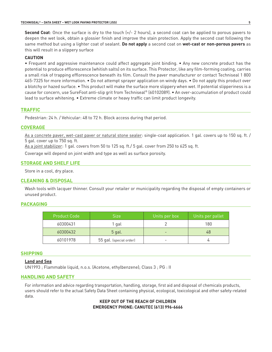**Second Coat**: Once the surface is dry to the touch (+/- 2 hours), a second coat can be applied to porous pavers to deepen the wet look, obtain a glossier finish and improve the stain protection. Apply the second coat following the same method but using a lighter coat of sealant. **Do not apply** a second coat on **wet-cast or non-porous pavers** as this will result in a slippery surface

#### **CAUTION**

• Frequent and aggressive maintenance could affect aggregate joint binding. • Any new concrete product has the potential to produce efflorescence (whitish salts) on its surface. This Protector, like any film-forming coating, carries a small risk of trapping efflorescence beneath its film. Consult the paver manufacturer or contact Techniseal 1 800 465-7325 for more information. • Do not attempt sprayer application on windy days. • Do not apply this product over a blotchy or hazed surface. • This product will make the surface more slippery when wet. If potential slipperiness is a cause for concern, use SureFoot anti-slip grit from Techniseal® (60102089). • An over-accumulation of product could lead to surface whitening. • Extreme climate or heavy traffic can limit product longevity.

# **TRAFFIC**

Pedestrian: 24 h. / Vehicular: 48 to 72 h. Block access during that period.

# **COVERAGE**

As a concrete paver, wet-cast paver or natural stone sealer: single-coat application. 1 gal. covers up to 150 sq. ft. / 5 gal. cover up to 750 sq. ft.

As a joint stabilizer: 1 gal. covers from 50 to 125 sq. ft./ 5 gal. cover from 250 to 625 sq. ft.

Coverage will depend on joint width and type as well as surface porosity.

# **STORAGE AND SHELF LIFE**

Store in a cool, dry place.

# **CLEANING & DISPOSAL**

Wash tools with lacquer thinner. Consult your retailer or municipality regarding the disposal of empty containers or unused product.

# **PACKAGING**

| <b>Product Code</b> | <b>Size</b>             | Units per box | Units per pallet |
|---------------------|-------------------------|---------------|------------------|
| 60300431            | 1 gal                   |               | 180              |
| 60300432            | $5$ gal.                |               | 48               |
| 60101978            | 55 gal. (special order) |               |                  |

#### **SHIPPING**

# **Land and Sea**

UN1993 ; Flammable liquid, n.o.s. (Acetone, ethylbenzene); Class 3 ; PG : II

#### **HANDLING AND SAFETY**

For information and advice regarding transportation, handling, storage, first aid and disposal of chemicals products, users should refer to the actual Safety Data Sheet containing physical, ecological, toxicological and other safety-related data.

# **KEEP OUT OF THE REACH OF CHILDREN EMERGENCY PHONE: CANUTEC (613) 996-6666**